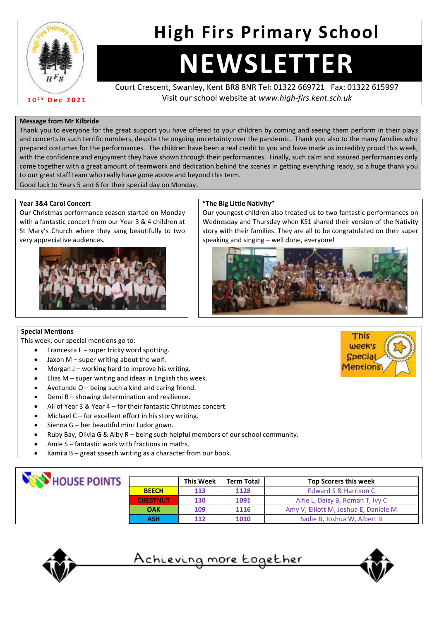

### **High Firs Primary School**

## **NEWSLETTER**

Court Crescent, Swanley, Kent BR8 8NR Tel: 01322 669721 Fax: 01322 615997 Visit our school website at *www.high-firs.kent.sch.uk*

#### **Message from Mr Kilbride**

Thank you to everyone for the great support you have offered to your children by coming and seeing them perform in their plays and concerts in such terrific numbers, despite the ongoing uncertainty over the pandemic. Thank you also to the many families who prepared costumes for the performances. The children have been a real credit to you and have made us incredibly proud this week, with the confidence and enjoyment they have shown through their performances. Finally, such calm and assured performances only come together with a great amount of teamwork and dedication behind the scenes in getting everything ready, so a huge thank you to our great staff team who really have gone above and beyond this term.

Good luck to Years 5 and 6 for their special day on Monday.

#### **Year 3&4 Carol Concert**

Our Christmas performance season started on Monday with a fantastic concert from our Year 3 & 4 children at St Mary's Church where they sang beautifully to two very appreciative audiences.



#### **"The Big Little Nativity"**

Our youngest children also treated us to two fantastic performances on Wednesday and Thursday when KS1 shared their version of the Nativity story with their families. They are all to be congratulated on their super speaking and singing – well done, everyone!



#### **Special Mentions**

This week, our special mentions go to:

- Francesca F super tricky word spotting.
- Jaxon  $M$  super writing about the wolf.
- Morgan J working hard to improve his writing.
- Elias  $M$  super writing and ideas in English this week.
- Ayotunde  $O -$  being such a kind and caring friend.
- Demi B showing determination and resilience.
- All of Year 3 & Year 4 for their fantastic Christmas concert.
- Michael  $C$  for excellent effort in his story writing.
- Sienna G her beautiful mini Tudor gown.
- Ruby Bay, Olivia G & Alby R being such helpful members of our school community.
- Amie S fantastic work with fractions in maths.
- Kamila  $B$  great speech writing as a character from our book.

| HOUSE POINTS |                 | <b>This Week</b> | <b>Term Total</b> | <b>Top Scorers this week</b>          |
|--------------|-----------------|------------------|-------------------|---------------------------------------|
|              | <b>BEECH</b>    | 113              | 1128              | Edward S & Harrison C                 |
|              | <b>CHESTNUT</b> | 130              | 1091              | Alfie L, Daisy B, Roman T, Ivy C      |
|              | <b>OAK</b>      | 109              | 1116              | Amy V, Elliott M, Joshua E, Daniele M |
|              | <b>ASH</b>      | 112              | 1010              | Sadie B, Joshua W, Albert B           |







<sup>&</sup>lt;u>Achieving more together</u>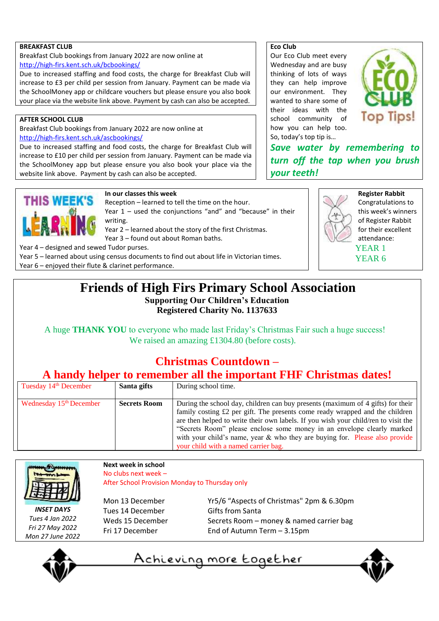#### **BREAKFAST CLUB**

Breakfast Club bookings from January 2022 are now online at <http://high-firs.kent.sch.uk/bcbookings/>

Due to increased staffing and food costs, the charge for Breakfast Club will increase to £3 per child per session from January. Payment can be made via the SchoolMoney app or childcare vouchers but please ensure you also book your place via the website link above. Payment by cash can also be accepted.

#### **AFTER SCHOOL CLUB**

Breakfast Club bookings from January 2022 are now online at <http://high-firs.kent.sch.uk/ascbookings/>

Due to increased staffing and food costs, the charge for Breakfast Club will increase to £10 per child per session from January. Payment can be made via the SchoolMoney app but please ensure you also book your place via the website link above. Payment by cash can also be accepted.

#### **Eco Club**

Our Eco Club meet every Wednesday and are busy thinking of lots of ways they can help improve our environment. They wanted to share some of their ideas with the school community of how you can help too. So, today's top tip is…



*Save water by remembering to turn off the tap when you brush your teeth!*

# **THIS WEEK'S**

#### **In our classes this week**

Reception – learned to tell the time on the hour. Year 1 – used the conjunctions "and" and "because" in their

writing. Year 2 – learned about the story of the first Christmas.

Year 3 – found out about Roman baths.

Year 4 – designed and sewed Tudor purses.

Year 5 – learned about using census documents to find out about life in Victorian times.

Year 6 – enjoyed their flute & clarinet performance.



**Register Rabbit** Congratulations to this week's winners of Register Rabbit for their excellent attendance: YEAR 1 YEAR 6

#### **Friends of High Firs Primary School Association Supporting Our Children's Education Registered Charity No. 1137633**

A huge **THANK YOU** to everyone who made last Friday's Christmas Fair such a huge success! We raised an amazing £1304.80 (before costs).

#### **Christmas Countdown –**

#### **A handy helper to remember all the important FHF Christmas dates!**

| Tuesday 14 <sup>th</sup> December   | Santa gifts         | During school time.                                                                |  |
|-------------------------------------|---------------------|------------------------------------------------------------------------------------|--|
|                                     |                     |                                                                                    |  |
| Wednesday 15 <sup>th</sup> December | <b>Secrets Room</b> | During the school day, children can buy presents (maximum of 4 gifts) for their    |  |
|                                     |                     | family costing £2 per gift. The presents come ready wrapped and the children       |  |
|                                     |                     | are then helped to write their own labels. If you wish your child/ren to visit the |  |
|                                     |                     | "Secrets Room" please enclose some money in an envelope clearly marked             |  |
|                                     |                     | with your child's name, year $\&$ who they are buying for. Please also provide     |  |
|                                     |                     | your child with a named carrier bag.                                               |  |



*INSET DAYS Tues 4 Jan 2022 Fri 27 May 2022 Mon 27 June 2022*

#### **Next week in school** No clubs next week – After School Provision Monday to Thursday only

Tues 14 December Gifts from Santa

Mon 13 December Yr5/6 "Aspects of Christmas" 2pm & 6.30pm Weds 15 December Secrets Room – money & named carrier bag Fri 17 December End of Autumn Term – 3.15pm

<u>Achieving more together</u>